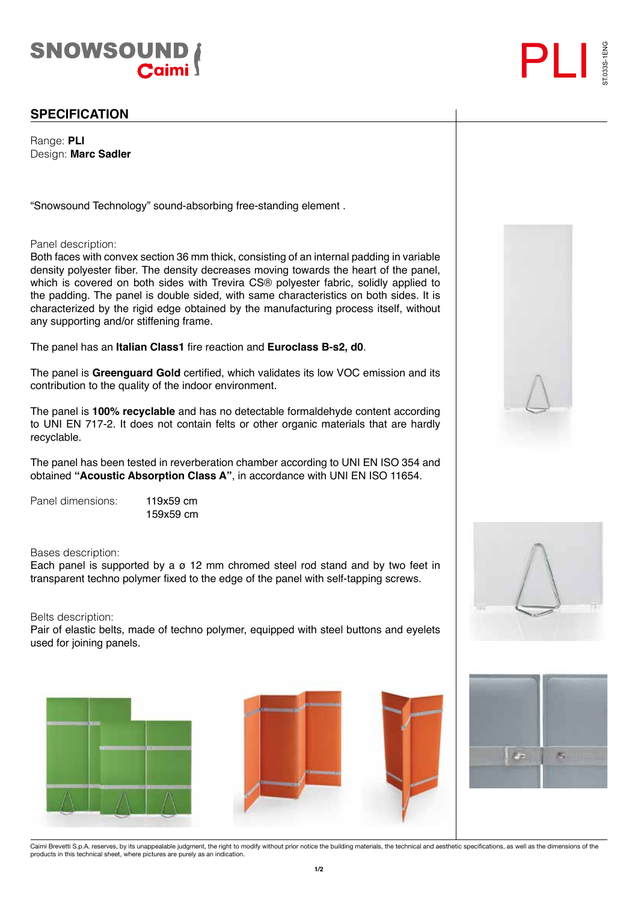



Range: **PLI** Design: **Marc Sadler**

"Snowsound Technology" sound-absorbing free-standing element .

Panel description:

Both faces with convex section 36 mm thick, consisting of an internal padding in variable density polyester fiber. The density decreases moving towards the heart of the panel, which is covered on both sides with Trevira CS® polyester fabric, solidly applied to the padding. The panel is double sided, with same characteristics on both sides. It is characterized by the rigid edge obtained by the manufacturing process itself, without any supporting and/or stiffening frame.

The panel has an **Italian Class1** fire reaction and **Euroclass B-s2, d0**.

The panel is **Greenguard Gold** certified, which validates its low VOC emission and its contribution to the quality of the indoor environment.

The panel is **100% recyclable** and has no detectable formaldehyde content according to UNI EN 717-2. It does not contain felts or other organic materials that are hardly recyclable.

The panel has been tested in reverberation chamber according to UNI EN ISO 354 and obtained **"Acoustic Absorption Class A"**, in accordance with UNI EN ISO 11654.

Panel dimensions: 119x59 cm

159x59 cm

Bases description:

Each panel is supported by a  $\sigma$  12 mm chromed steel rod stand and by two feet in transparent techno polymer fixed to the edge of the panel with self-tapping screws.

Belts description:

Pair of elastic belts, made of techno polymer, equipped with steel buttons and eyelets used for joining panels.











ST.033S-1ENG

Caimi Brevetti S.p.A. reserves, by its unappealable judgment, the right to modify without prior notice the building materials, the technical and aesthetic specifications, as well as the dimensions of the<br>products in this t